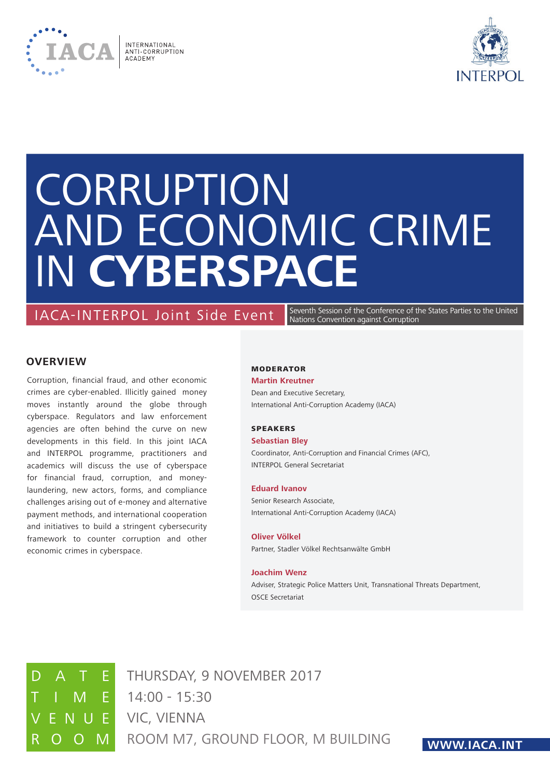



# **CORRUPTION** and Economic Crime in **Cyberspace**

# IACA-INTERPOL Joint Side Event

Seventh Session of the Conference of the States Parties to the United Nations Convention against Corruption

# **OVERVIEW**

Corruption, financial fraud, and other economic crimes are cyber-enabled. Illicitly gained money moves instantly around the globe through cyberspace. Regulators and law enforcement agencies are often behind the curve on new developments in this field. In this joint IACA and INTERPOL programme, practitioners and academics will discuss the use of cyberspace for financial fraud, corruption, and moneylaundering, new actors, forms, and compliance challenges arising out of e-money and alternative payment methods, and international cooperation and initiatives to build a stringent cybersecurity framework to counter corruption and other economic crimes in cyberspace.

#### **MODERATOR**

#### **Martin Kreutner**

Dean and Executive Secretary, International Anti-Corruption Academy (IACA)

#### SPEAKERS

#### **Sebastian Bley**

Coordinator, Anti-Corruption and Financial Crimes (AFC), INTERPOL General Secretariat

#### **Eduard Ivanov**

Senior Research Associate, International Anti-Corruption Academy (IACA)

#### **Oliver Völkel**

Partner, Stadler Völkel Rechtsanwälte GmbH

#### **Joachim Wenz**

Adviser, Strategic Police Matters Unit, Transnational Threats Department, OSCE Secretariat



 $\mathsf{F}$  14:00 - 15:30 O M ROOM M7, GROUND FLOOR, M BUILDING E VIC, VIENNA **E** THURSDAY, 9 NOVEMBER 2017

# **www.iaca.int**